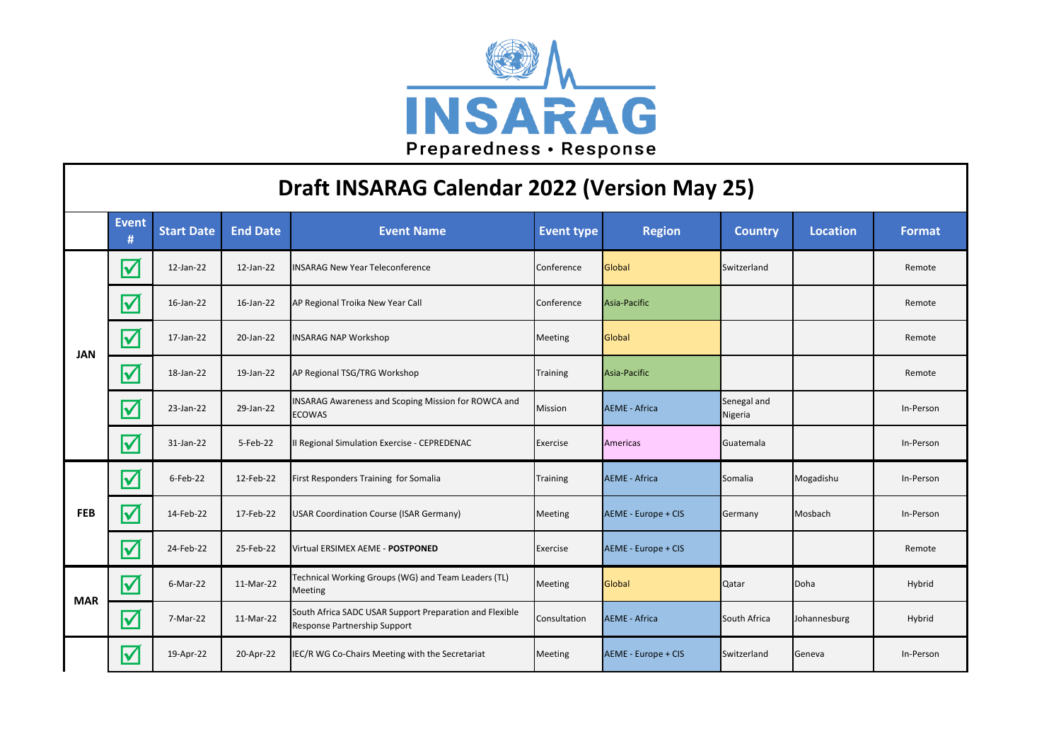

| Draft INSARAG Calendar 2022 (Version May 25) |                         |                   |                 |                                                                                         |                   |                            |                        |                 |               |  |
|----------------------------------------------|-------------------------|-------------------|-----------------|-----------------------------------------------------------------------------------------|-------------------|----------------------------|------------------------|-----------------|---------------|--|
|                                              | <b>Event</b><br>#       | <b>Start Date</b> | <b>End Date</b> | <b>Event Name</b>                                                                       | <b>Event type</b> | <b>Region</b>              | <b>Country</b>         | <b>Location</b> | <b>Format</b> |  |
| <b>JAN</b>                                   | $\blacktriangledown$    | 12-Jan-22         | 12-Jan-22       | <b>INSARAG New Year Teleconference</b>                                                  | Conference        | Global                     | Switzerland            |                 | Remote        |  |
|                                              | $\blacktriangledown$    | 16-Jan-22         | 16-Jan-22       | AP Regional Troika New Year Call                                                        | Conference        | Asia-Pacific               |                        |                 | Remote        |  |
|                                              | $\overline{\mathsf{v}}$ | 17-Jan-22         | 20-Jan-22       | <b>INSARAG NAP Workshop</b>                                                             | Meeting           | Global                     |                        |                 | Remote        |  |
|                                              | $\blacktriangledown$    | 18-Jan-22         | 19-Jan-22       | AP Regional TSG/TRG Workshop                                                            | <b>Training</b>   | Asia-Pacific               |                        |                 | Remote        |  |
|                                              | $\blacktriangledown$    | 23-Jan-22         | 29-Jan-22       | INSARAG Awareness and Scoping Mission for ROWCA and<br><b>ECOWAS</b>                    | Mission           | <b>AEME - Africa</b>       | Senegal and<br>Nigeria |                 | In-Person     |  |
|                                              | $\blacktriangledown$    | 31-Jan-22         | 5-Feb-22        | II Regional Simulation Exercise - CEPREDENAC                                            | Exercise          | Americas                   | Guatemala              |                 | In-Person     |  |
| <b>FEB</b>                                   | $\overline{\mathsf{v}}$ | $6$ -Feb-22       | 12-Feb-22       | First Responders Training for Somalia                                                   | Training          | <b>AEME - Africa</b>       | Somalia                | Mogadishu       | In-Person     |  |
|                                              | $\blacktriangledown$    | 14-Feb-22         | 17-Feb-22       | <b>USAR Coordination Course (ISAR Germany)</b>                                          | Meeting           | AEME - Europe + CIS        | Germany                | Mosbach         | In-Person     |  |
|                                              | $\overline{\mathbf{V}}$ | 24-Feb-22         | 25-Feb-22       | Virtual ERSIMEX AEME - POSTPONED                                                        | Exercise          | AEME - Europe + CIS        |                        |                 | Remote        |  |
| <b>MAR</b>                                   | $\blacktriangledown$    | $6-Mar-22$        | 11-Mar-22       | Technical Working Groups (WG) and Team Leaders (TL)<br><b>Meeting</b>                   | Meeting           | Global                     | Qatar                  | Doha            | Hybrid        |  |
|                                              | $\blacktriangledown$    | 7-Mar-22          | 11-Mar-22       | South Africa SADC USAR Support Preparation and Flexible<br>Response Partnership Support | Consultation      | <b>AEME - Africa</b>       | South Africa           | Johannesburg    | Hybrid        |  |
|                                              | $\blacktriangledown$    | 19-Apr-22         | 20-Apr-22       | IEC/R WG Co-Chairs Meeting with the Secretariat                                         | <b>Meeting</b>    | <b>AEME - Europe + CIS</b> | Switzerland            | Geneva          | In-Person     |  |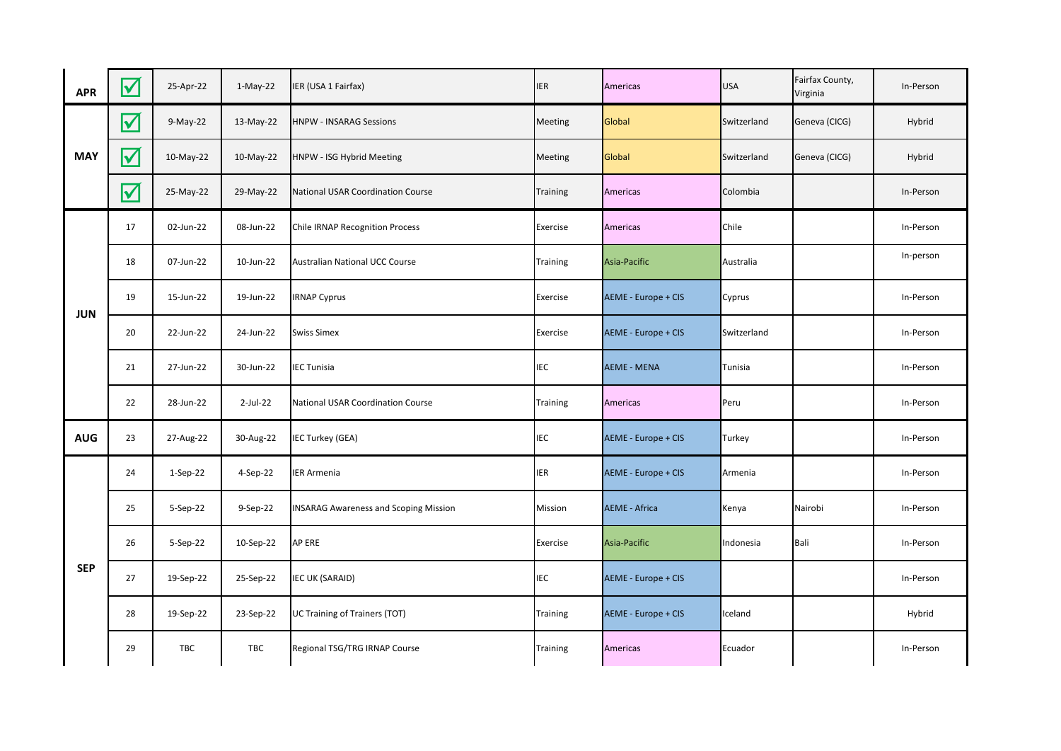| <b>APR</b> | $\blacktriangledown$ | 25-Apr-22  | $1-May-22$ | IER (USA 1 Fairfax)                          | <b>IER</b>      | Americas             | <b>USA</b>  | Fairfax County,<br>Virginia | In-Person |
|------------|----------------------|------------|------------|----------------------------------------------|-----------------|----------------------|-------------|-----------------------------|-----------|
| <b>MAY</b> | $\blacktriangledown$ | $9-May-22$ | 13-May-22  | <b>HNPW - INSARAG Sessions</b>               | Meeting         | Global               | Switzerland | Geneva (CICG)               | Hybrid    |
|            | $\blacktriangledown$ | 10-May-22  | 10-May-22  | HNPW - ISG Hybrid Meeting                    | Meeting         | Global               | Switzerland | Geneva (CICG)               | Hybrid    |
|            | $\blacktriangledown$ | 25-May-22  | 29-May-22  | National USAR Coordination Course            | <b>Training</b> | <b>Americas</b>      | Colombia    |                             | In-Person |
| <b>JUN</b> | 17                   | 02-Jun-22  | 08-Jun-22  | <b>Chile IRNAP Recognition Process</b>       | Exercise        | <b>Americas</b>      | Chile       |                             | In-Person |
|            | 18                   | 07-Jun-22  | 10-Jun-22  | <b>Australian National UCC Course</b>        | <b>Training</b> | Asia-Pacific         | Australia   |                             | In-person |
|            | 19                   | 15-Jun-22  | 19-Jun-22  | <b>IRNAP Cyprus</b>                          | Exercise        | AEME - Europe + CIS  | Cyprus      |                             | In-Person |
|            | 20                   | 22-Jun-22  | 24-Jun-22  | <b>Swiss Simex</b>                           | Exercise        | AEME - Europe + CIS  | Switzerland |                             | In-Person |
|            | 21                   | 27-Jun-22  | 30-Jun-22  | <b>IEC Tunisia</b>                           | <b>IEC</b>      | <b>AEME - MENA</b>   | Tunisia     |                             | In-Person |
|            | 22                   | 28-Jun-22  | 2-Jul-22   | National USAR Coordination Course            | <b>Training</b> | Americas             | Peru        |                             | In-Person |
| <b>AUG</b> | 23                   | 27-Aug-22  | 30-Aug-22  | IEC Turkey (GEA)                             | <b>IEC</b>      | AEME - Europe + CIS  | Turkey      |                             | In-Person |
| <b>SEP</b> | 24                   | $1-Sep-22$ | 4-Sep-22   | IER Armenia                                  | <b>IER</b>      | AEME - Europe + CIS  | Armenia     |                             | In-Person |
|            | 25                   | 5-Sep-22   | 9-Sep-22   | <b>INSARAG Awareness and Scoping Mission</b> | Mission         | <b>AEME - Africa</b> | Kenya       | Nairobi                     | In-Person |
|            | 26                   | 5-Sep-22   | 10-Sep-22  | AP ERE                                       | Exercise        | Asia-Pacific         | Indonesia   | Bali                        | In-Person |
|            | 27                   | 19-Sep-22  | 25-Sep-22  | IEC UK (SARAID)                              | <b>IEC</b>      | AEME - Europe + CIS  |             |                             | In-Person |
|            | 28                   | 19-Sep-22  | 23-Sep-22  | UC Training of Trainers (TOT)                | Training        | AEME - Europe + CIS  | Iceland     |                             | Hybrid    |
|            | 29                   | TBC        | TBC        | Regional TSG/TRG IRNAP Course                | <b>Training</b> | Americas             | Ecuador     |                             | In-Person |